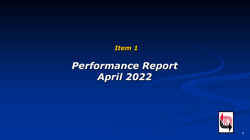*Item 1*

# *Performance Report April 2022*



**1**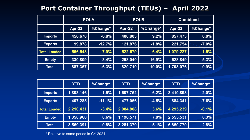## **Port Container Throughput (TEUs) – April 2022**

|                     | <b>POLA</b>   |          | <b>POLB</b>   |          | <b>Combined</b> |          |
|---------------------|---------------|----------|---------------|----------|-----------------|----------|
|                     | <b>Apr-22</b> | %Change* | <b>Apr-22</b> | %Change* | <b>Apr-22</b>   | %Change* |
| <b>Imports</b>      | 456,670       | $-6.8%$  | 400,803       | 9.2%     | 857,473         | $0.0\%$  |
| <b>Exports</b>      | 99,878        | $-12.7%$ | 121,876       | $-1.8%$  | 221,754         | $-7.0%$  |
| <b>Total Loaded</b> | 556,548       | $-7.9%$  | 522,679       | 6.4%     | 1,079,227       | $-1.5%$  |
| <b>Empty</b>        | 330,809       | $-3.4%$  | 298,040       | $16.9\%$ | 628,849         | 5.3%     |
| <b>Total</b>        | 887,357       | $-6.3%$  | 820,719       | 10.0%    | 1,708,076       | 0.9%     |

|                     | <b>YTD</b> | <b>%Change*</b> | <b>YTD</b> | %Change* | <b>YTD</b>         | %Change* |
|---------------------|------------|-----------------|------------|----------|--------------------|----------|
| <b>Imports</b>      | 1,803,146  | $-1.5%$         | 1,607,752  | 6.2%     | $\sqrt{3,410,898}$ | 2.0%     |
| <b>Exports</b>      | 407,285    | $-11.1%$        | 477,056    | $-4.5%$  | 884,341            | $-7.6%$  |
| <b>Total Loaded</b> | 2,210,431  | $-3.4%$         | 2,084,808  | 3.6%     | 4,295,239          | $-0.1%$  |
| <b>Empty</b>        | 1,358,960  | 8.6%            | 1,196,571  | 7.8%     | 2,555,531          | 8.3%     |
| <b>Total</b>        | 3,569,391  | 0.8%            | 3,281,379  | 5.1%     | 6,850,770          | 2.8%     |

\* Relative to same period in CY 2021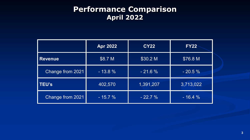## **Performance Comparison April 2022**

|                  | <b>Apr 2022</b> | <b>CY22</b> | <b>FY22</b> |
|------------------|-----------------|-------------|-------------|
| <b>Revenue</b>   | \$8.7 M         | \$30.2 M    | \$76.8 M    |
| Change from 2021 | $-13.8%$        | $-21.6%$    | $-20.5%$    |
| <b>TEU's</b>     | 402,570         | 1,391,207   | 3,713,022   |
| Change from 2021 | $-15.7%$        | $-22.7\%$   | $-16.4%$    |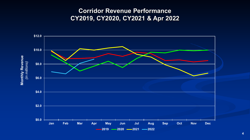### **Corridor Revenue Performance CY2019, CY2020, CY2021 & Apr 2022**

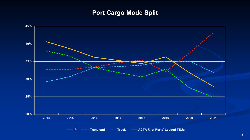### **Port Cargo Mode Split**